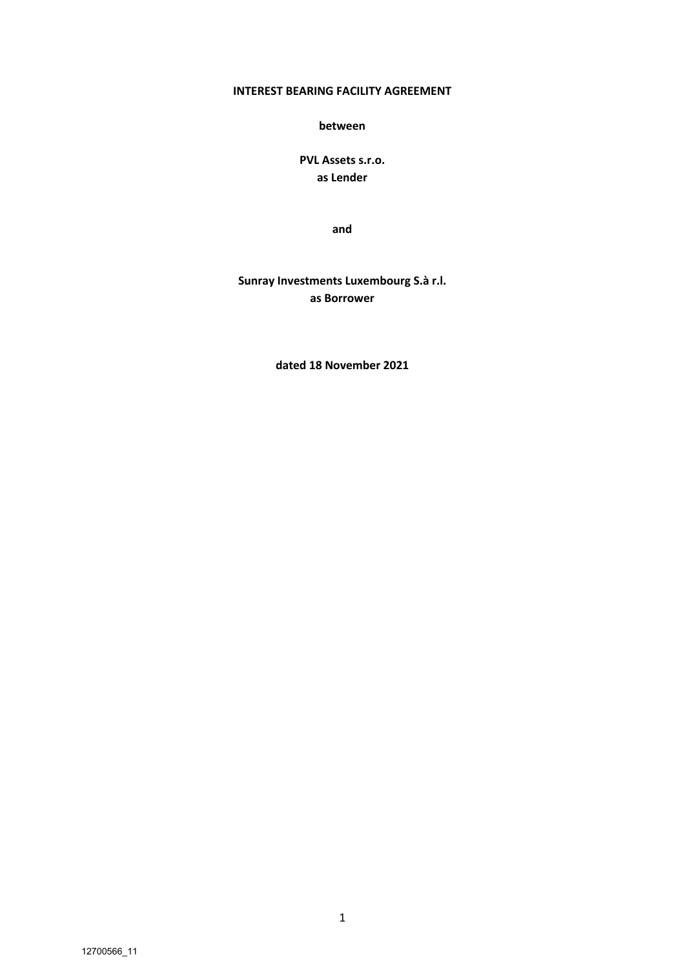## **INTEREST BEARING FACILITY AGREEMENT**

**between**

**PVL Assets s.r.o. as Lender**

**and**

**Sunray Investments Luxembourg S.à r.l. as Borrower**

**dated 18 November 2021**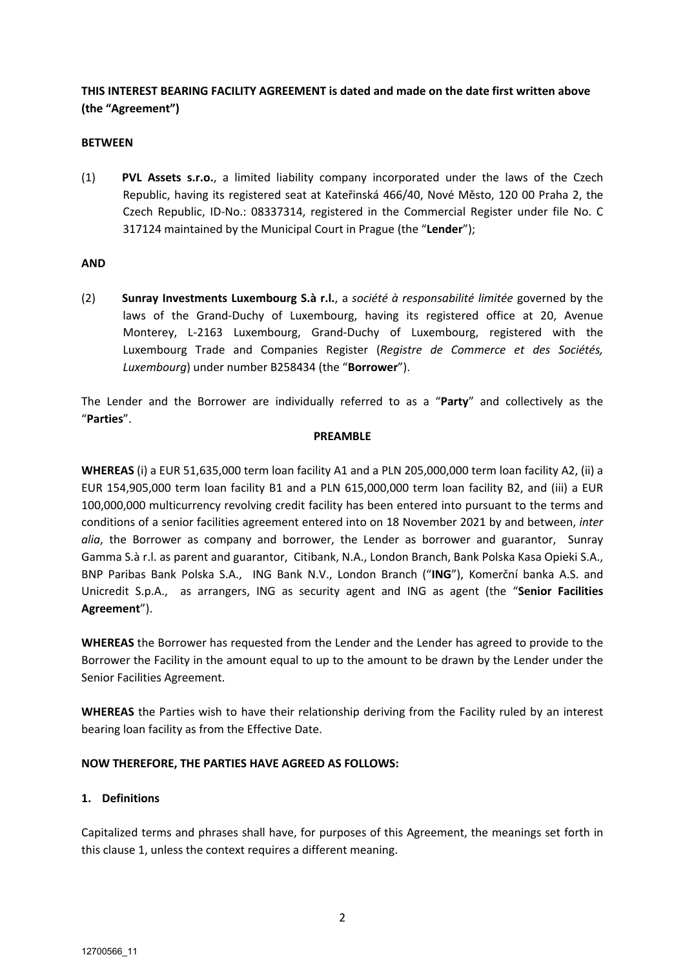# **THIS INTEREST BEARING FACILITY AGREEMENT is dated and made on the date first written above (the "Agreement")**

### **BETWEEN**

(1) **PVL Assets s.r.o.**, a limited liability company incorporated under the laws of the Czech Republic, having its registered seat at Kateřinská 466/40, Nové Město, 120 00 Praha 2, the Czech Republic, ID-No.: 08337314, registered in the Commercial Register under file No. C 317124 maintained by the Municipal Court in Prague (the "**Lender**");

#### **AND**

(2) **Sunray Investments Luxembourg S.à r.l.**, a *société à responsabilité limitée* governed by the laws of the Grand-Duchy of Luxembourg, having its registered office at 20, Avenue Monterey, L-2163 Luxembourg, Grand-Duchy of Luxembourg, registered with the Luxembourg Trade and Companies Register (*Registre de Commerce et des Sociétés, Luxembourg*) under number B258434 (the "**Borrower**").

The Lender and the Borrower are individually referred to as a "**Party**" and collectively as the "**Parties**".

#### **PREAMBLE**

**WHEREAS** (i) a EUR 51,635,000 term loan facility A1 and a PLN 205,000,000 term loan facility A2, (ii) a EUR 154,905,000 term loan facility B1 and a PLN 615,000,000 term loan facility B2, and (iii) a EUR 100,000,000 multicurrency revolving credit facility has been entered into pursuant to the terms and conditions of a senior facilities agreement entered into on 18 November 2021 by and between, *inter alia*, the Borrower as company and borrower, the Lender as borrower and guarantor, Sunray Gamma S.à r.l. as parent and guarantor, Citibank, N.A., London Branch, Bank Polska Kasa Opieki S.A., BNP Paribas Bank Polska S.A., ING Bank N.V., London Branch ("**ING**"), Komerční banka A.S. and Unicredit S.p.A., as arrangers, ING as security agent and ING as agent (the "**Senior Facilities Agreement**").

**WHEREAS** the Borrower has requested from the Lender and the Lender has agreed to provide to the Borrower the Facility in the amount equal to up to the amount to be drawn by the Lender under the Senior Facilities Agreement.

**WHEREAS** the Parties wish to have their relationship deriving from the Facility ruled by an interest bearing loan facility as from the Effective Date.

#### **NOW THEREFORE, THE PARTIES HAVE AGREED AS FOLLOWS:**

### **1. Definitions**

Capitalized terms and phrases shall have, for purposes of this Agreement, the meanings set forth in this clause 1, unless the context requires a different meaning.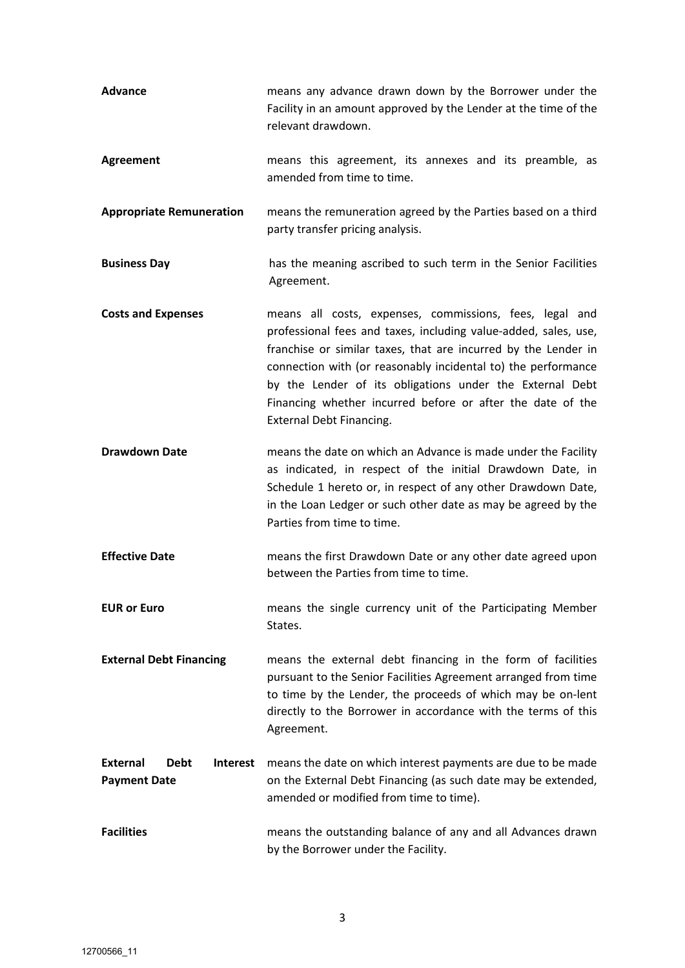| Advance                                                                  | means any advance drawn down by the Borrower under the<br>Facility in an amount approved by the Lender at the time of the<br>relevant drawdown.                                                                                                                                                                                                                                                                            |  |  |
|--------------------------------------------------------------------------|----------------------------------------------------------------------------------------------------------------------------------------------------------------------------------------------------------------------------------------------------------------------------------------------------------------------------------------------------------------------------------------------------------------------------|--|--|
| <b>Agreement</b>                                                         | means this agreement, its annexes and its preamble, as<br>amended from time to time.                                                                                                                                                                                                                                                                                                                                       |  |  |
| <b>Appropriate Remuneration</b>                                          | means the remuneration agreed by the Parties based on a third<br>party transfer pricing analysis.                                                                                                                                                                                                                                                                                                                          |  |  |
| <b>Business Day</b>                                                      | has the meaning ascribed to such term in the Senior Facilities<br>Agreement.                                                                                                                                                                                                                                                                                                                                               |  |  |
| <b>Costs and Expenses</b>                                                | means all costs, expenses, commissions, fees, legal and<br>professional fees and taxes, including value-added, sales, use,<br>franchise or similar taxes, that are incurred by the Lender in<br>connection with (or reasonably incidental to) the performance<br>by the Lender of its obligations under the External Debt<br>Financing whether incurred before or after the date of the<br><b>External Debt Financing.</b> |  |  |
| <b>Drawdown Date</b>                                                     | means the date on which an Advance is made under the Facility<br>as indicated, in respect of the initial Drawdown Date, in<br>Schedule 1 hereto or, in respect of any other Drawdown Date,<br>in the Loan Ledger or such other date as may be agreed by the<br>Parties from time to time.                                                                                                                                  |  |  |
| <b>Effective Date</b>                                                    | means the first Drawdown Date or any other date agreed upon<br>between the Parties from time to time.                                                                                                                                                                                                                                                                                                                      |  |  |
| <b>EUR or Euro</b>                                                       | means the single currency unit of the Participating Member<br>States.                                                                                                                                                                                                                                                                                                                                                      |  |  |
| <b>External Debt Financing</b>                                           | means the external debt financing in the form of facilities<br>pursuant to the Senior Facilities Agreement arranged from time<br>to time by the Lender, the proceeds of which may be on-lent<br>directly to the Borrower in accordance with the terms of this<br>Agreement.                                                                                                                                                |  |  |
| <b>External</b><br><b>Debt</b><br><b>Interest</b><br><b>Payment Date</b> | means the date on which interest payments are due to be made<br>on the External Debt Financing (as such date may be extended,<br>amended or modified from time to time).                                                                                                                                                                                                                                                   |  |  |
| <b>Facilities</b>                                                        | means the outstanding balance of any and all Advances drawn<br>by the Borrower under the Facility.                                                                                                                                                                                                                                                                                                                         |  |  |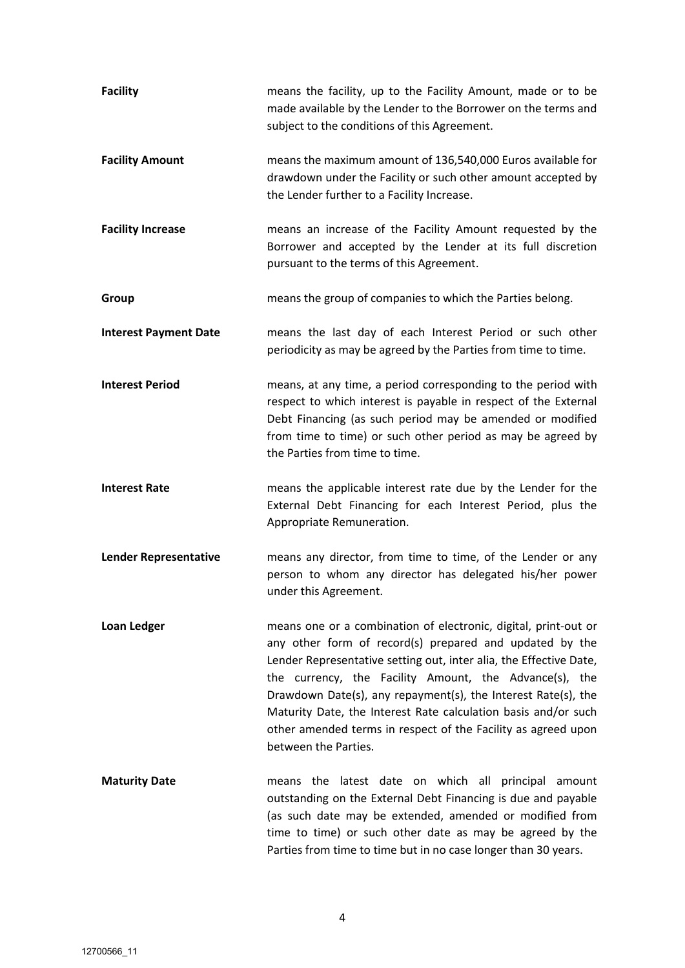| <b>Facility</b>              | means the facility, up to the Facility Amount, made or to be<br>made available by the Lender to the Borrower on the terms and<br>subject to the conditions of this Agreement.                                                                                                                                                                                                                                                                                                          |
|------------------------------|----------------------------------------------------------------------------------------------------------------------------------------------------------------------------------------------------------------------------------------------------------------------------------------------------------------------------------------------------------------------------------------------------------------------------------------------------------------------------------------|
| <b>Facility Amount</b>       | means the maximum amount of 136,540,000 Euros available for<br>drawdown under the Facility or such other amount accepted by<br>the Lender further to a Facility Increase.                                                                                                                                                                                                                                                                                                              |
| <b>Facility Increase</b>     | means an increase of the Facility Amount requested by the<br>Borrower and accepted by the Lender at its full discretion<br>pursuant to the terms of this Agreement.                                                                                                                                                                                                                                                                                                                    |
| Group                        | means the group of companies to which the Parties belong.                                                                                                                                                                                                                                                                                                                                                                                                                              |
| <b>Interest Payment Date</b> | means the last day of each Interest Period or such other<br>periodicity as may be agreed by the Parties from time to time.                                                                                                                                                                                                                                                                                                                                                             |
| <b>Interest Period</b>       | means, at any time, a period corresponding to the period with<br>respect to which interest is payable in respect of the External<br>Debt Financing (as such period may be amended or modified<br>from time to time) or such other period as may be agreed by<br>the Parties from time to time.                                                                                                                                                                                         |
| <b>Interest Rate</b>         | means the applicable interest rate due by the Lender for the<br>External Debt Financing for each Interest Period, plus the<br>Appropriate Remuneration.                                                                                                                                                                                                                                                                                                                                |
| <b>Lender Representative</b> | means any director, from time to time, of the Lender or any<br>person to whom any director has delegated his/her power<br>under this Agreement.                                                                                                                                                                                                                                                                                                                                        |
| Loan Ledger                  | means one or a combination of electronic, digital, print-out or<br>any other form of record(s) prepared and updated by the<br>Lender Representative setting out, inter alia, the Effective Date,<br>the currency, the Facility Amount, the Advance(s), the<br>Drawdown Date(s), any repayment(s), the Interest Rate(s), the<br>Maturity Date, the Interest Rate calculation basis and/or such<br>other amended terms in respect of the Facility as agreed upon<br>between the Parties. |
| <b>Maturity Date</b>         | means the latest date on which all principal amount<br>outstanding on the External Debt Financing is due and payable<br>(as such date may be extended, amended or modified from<br>time to time) or such other date as may be agreed by the<br>Parties from time to time but in no case longer than 30 years.                                                                                                                                                                          |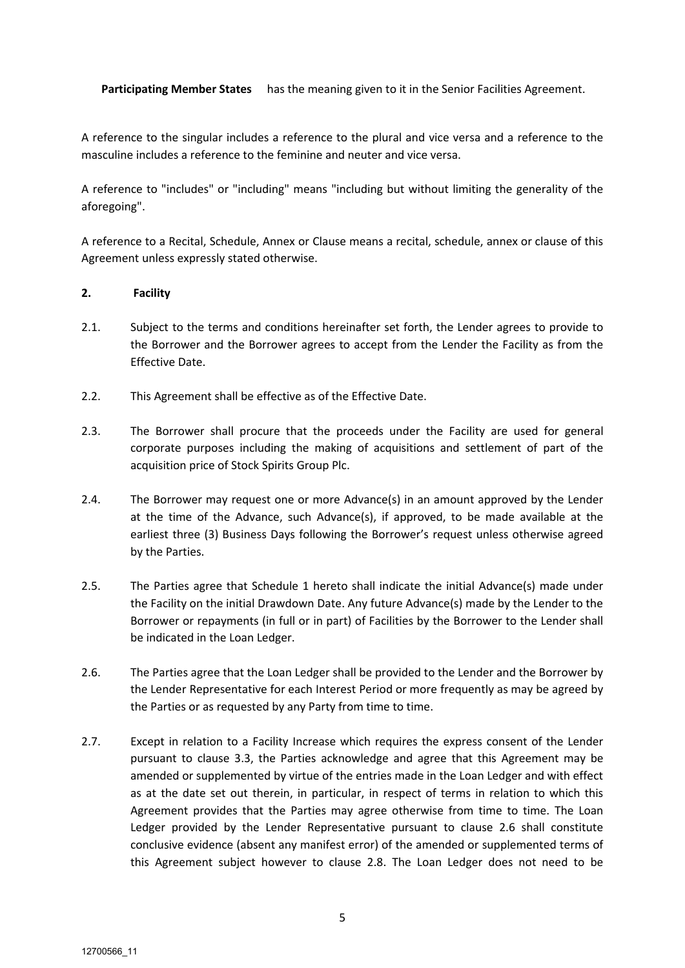**Participating Member States** has the meaning given to it in the Senior Facilities Agreement.

A reference to the singular includes a reference to the plural and vice versa and a reference to the masculine includes a reference to the feminine and neuter and vice versa.

A reference to "includes" or "including" means "including but without limiting the generality of the aforegoing".

A reference to a Recital, Schedule, Annex or Clause means a recital, schedule, annex or clause of this Agreement unless expressly stated otherwise.

### **2. Facility**

- 2.1. Subject to the terms and conditions hereinafter set forth, the Lender agrees to provide to the Borrower and the Borrower agrees to accept from the Lender the Facility as from the Effective Date.
- 2.2. This Agreement shall be effective as of the Effective Date.
- 2.3. The Borrower shall procure that the proceeds under the Facility are used for general corporate purposes including the making of acquisitions and settlement of part of the acquisition price of Stock Spirits Group Plc.
- 2.4. The Borrower may request one or more Advance(s) in an amount approved by the Lender at the time of the Advance, such Advance(s), if approved, to be made available at the earliest three (3) Business Days following the Borrower's request unless otherwise agreed by the Parties.
- 2.5. The Parties agree that Schedule 1 hereto shall indicate the initial Advance(s) made under the Facility on the initial Drawdown Date. Any future Advance(s) made by the Lender to the Borrower or repayments (in full or in part) of Facilities by the Borrower to the Lender shall be indicated in the Loan Ledger.
- 2.6. The Parties agree that the Loan Ledger shall be provided to the Lender and the Borrower by the Lender Representative for each Interest Period or more frequently as may be agreed by the Parties or as requested by any Party from time to time.
- 2.7. Except in relation to a Facility Increase which requires the express consent of the Lender pursuant to clause 3.3, the Parties acknowledge and agree that this Agreement may be amended or supplemented by virtue of the entries made in the Loan Ledger and with effect as at the date set out therein, in particular, in respect of terms in relation to which this Agreement provides that the Parties may agree otherwise from time to time. The Loan Ledger provided by the Lender Representative pursuant to clause 2.6 shall constitute conclusive evidence (absent any manifest error) of the amended or supplemented terms of this Agreement subject however to clause 2.8. The Loan Ledger does not need to be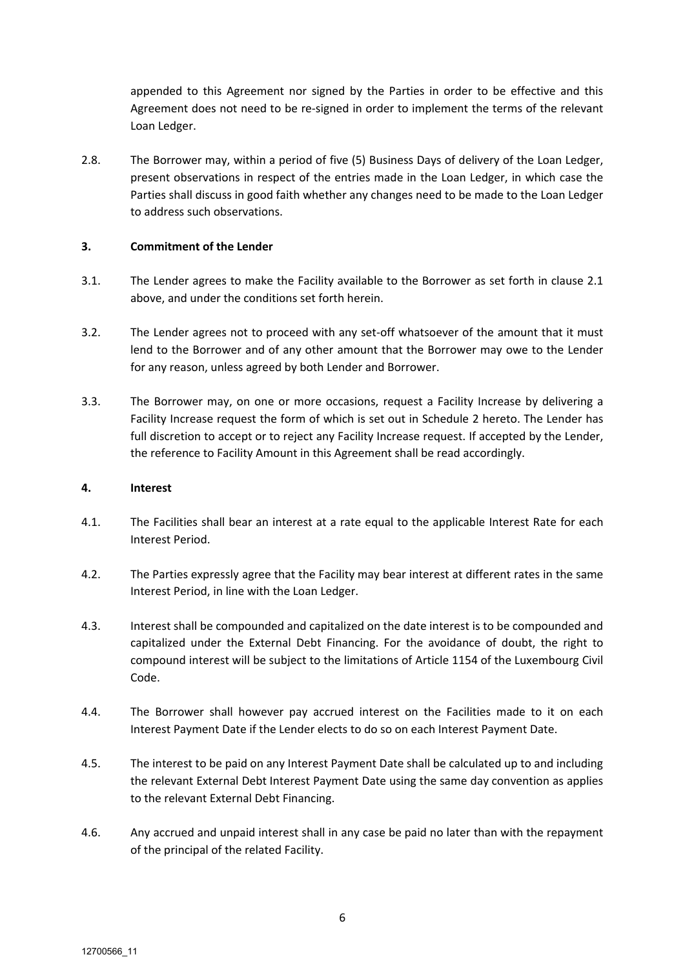appended to this Agreement nor signed by the Parties in order to be effective and this Agreement does not need to be re-signed in order to implement the terms of the relevant Loan Ledger.

2.8. The Borrower may, within a period of five (5) Business Days of delivery of the Loan Ledger, present observations in respect of the entries made in the Loan Ledger, in which case the Parties shall discuss in good faith whether any changes need to be made to the Loan Ledger to address such observations.

#### **3. Commitment of the Lender**

- 3.1. The Lender agrees to make the Facility available to the Borrower as set forth in clause 2.1 above, and under the conditions set forth herein.
- 3.2. The Lender agrees not to proceed with any set-off whatsoever of the amount that it must lend to the Borrower and of any other amount that the Borrower may owe to the Lender for any reason, unless agreed by both Lender and Borrower.
- 3.3. The Borrower may, on one or more occasions, request a Facility Increase by delivering a Facility Increase request the form of which is set out in Schedule 2 hereto. The Lender has full discretion to accept or to reject any Facility Increase request. If accepted by the Lender, the reference to Facility Amount in this Agreement shall be read accordingly.

#### **4. Interest**

- 4.1. The Facilities shall bear an interest at a rate equal to the applicable Interest Rate for each Interest Period.
- 4.2. The Parties expressly agree that the Facility may bear interest at different rates in the same Interest Period, in line with the Loan Ledger.
- 4.3. Interest shall be compounded and capitalized on the date interest is to be compounded and capitalized under the External Debt Financing. For the avoidance of doubt, the right to compound interest will be subject to the limitations of Article 1154 of the Luxembourg Civil Code.
- 4.4. The Borrower shall however pay accrued interest on the Facilities made to it on each Interest Payment Date if the Lender elects to do so on each Interest Payment Date.
- 4.5. The interest to be paid on any Interest Payment Date shall be calculated up to and including the relevant External Debt Interest Payment Date using the same day convention as applies to the relevant External Debt Financing.
- 4.6. Any accrued and unpaid interest shall in any case be paid no later than with the repayment of the principal of the related Facility.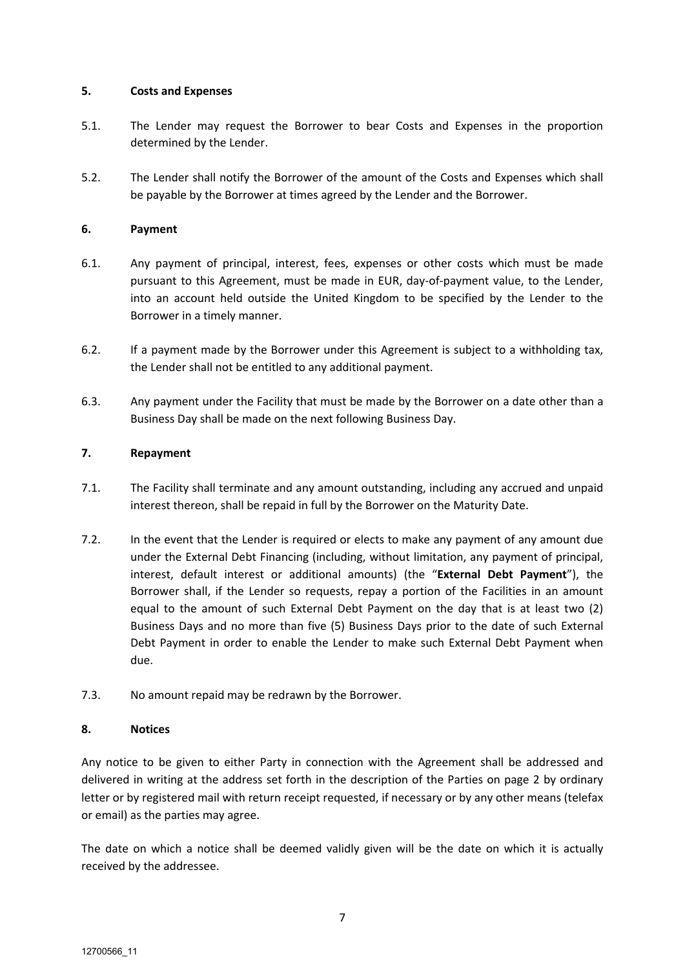### **5. Costs and Expenses**

- 5.1. The Lender may request the Borrower to bear Costs and Expenses in the proportion determined by the Lender.
- 5.2. The Lender shall notify the Borrower of the amount of the Costs and Expenses which shall be payable by the Borrower at times agreed by the Lender and the Borrower.

## **6. Payment**

- 6.1. Any payment of principal, interest, fees, expenses or other costs which must be made pursuant to this Agreement, must be made in EUR, day-of-payment value, to the Lender, into an account held outside the United Kingdom to be specified by the Lender to the Borrower in a timely manner.
- 6.2. If a payment made by the Borrower under this Agreement is subject to a withholding tax, the Lender shall not be entitled to any additional payment.
- 6.3. Any payment under the Facility that must be made by the Borrower on a date other than a Business Day shall be made on the next following Business Day.

## **7. Repayment**

- 7.1. The Facility shall terminate and any amount outstanding, including any accrued and unpaid interest thereon, shall be repaid in full by the Borrower on the Maturity Date.
- 7.2. In the event that the Lender is required or elects to make any payment of any amount due under the External Debt Financing (including, without limitation, any payment of principal, interest, default interest or additional amounts) (the "**External Debt Payment**"), the Borrower shall, if the Lender so requests, repay a portion of the Facilities in an amount equal to the amount of such External Debt Payment on the day that is at least two (2) Business Days and no more than five (5) Business Days prior to the date of such External Debt Payment in order to enable the Lender to make such External Debt Payment when due.
- 7.3. No amount repaid may be redrawn by the Borrower.

## **8. Notices**

Any notice to be given to either Party in connection with the Agreement shall be addressed and delivered in writing at the address set forth in the description of the Parties on page 2 by ordinary letter or by registered mail with return receipt requested, if necessary or by any other means (telefax or email) as the parties may agree.

The date on which a notice shall be deemed validly given will be the date on which it is actually received by the addressee.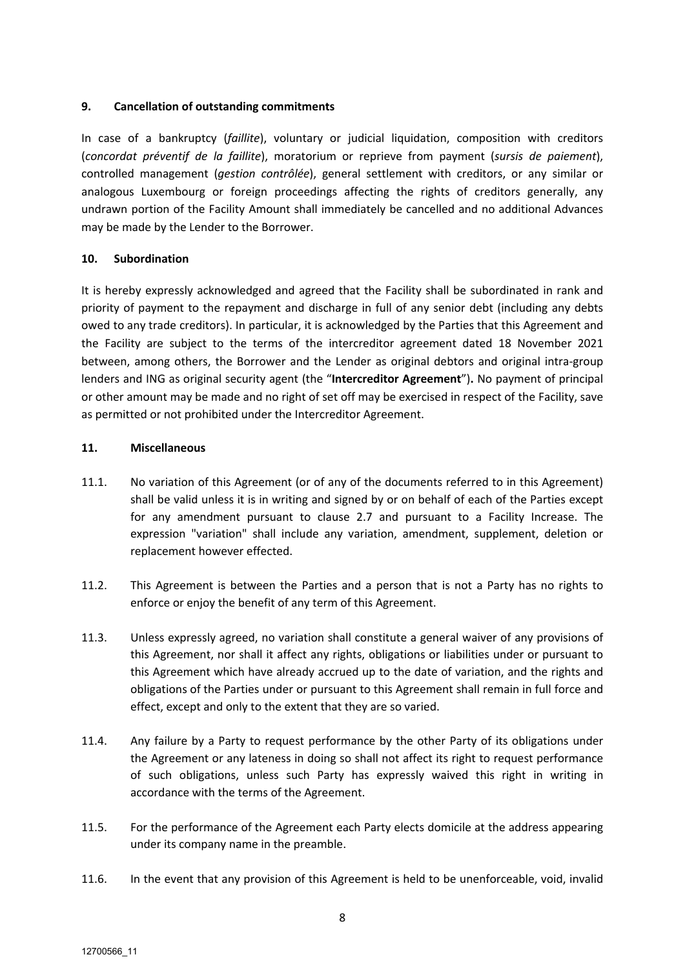### **9. Cancellation of outstanding commitments**

In case of a bankruptcy (*faillite*), voluntary or judicial liquidation, composition with creditors (*concordat préventif de la faillite*), moratorium or reprieve from payment (*sursis de paiement*), controlled management (*gestion contrôlée*), general settlement with creditors, or any similar or analogous Luxembourg or foreign proceedings affecting the rights of creditors generally, any undrawn portion of the Facility Amount shall immediately be cancelled and no additional Advances may be made by the Lender to the Borrower.

## **10. Subordination**

It is hereby expressly acknowledged and agreed that the Facility shall be subordinated in rank and priority of payment to the repayment and discharge in full of any senior debt (including any debts owed to any trade creditors). In particular, it is acknowledged by the Parties that this Agreement and the Facility are subject to the terms of the intercreditor agreement dated 18 November 2021 between, among others, the Borrower and the Lender as original debtors and original intra-group lenders and ING as original security agent (the "**Intercreditor Agreement**")**.** No payment of principal or other amount may be made and no right of set off may be exercised in respect of the Facility, save as permitted or not prohibited under the Intercreditor Agreement.

### **11. Miscellaneous**

- 11.1. No variation of this Agreement (or of any of the documents referred to in this Agreement) shall be valid unless it is in writing and signed by or on behalf of each of the Parties except for any amendment pursuant to clause 2.7 and pursuant to a Facility Increase. The expression "variation" shall include any variation, amendment, supplement, deletion or replacement however effected.
- 11.2. This Agreement is between the Parties and a person that is not a Party has no rights to enforce or enjoy the benefit of any term of this Agreement.
- 11.3. Unless expressly agreed, no variation shall constitute a general waiver of any provisions of this Agreement, nor shall it affect any rights, obligations or liabilities under or pursuant to this Agreement which have already accrued up to the date of variation, and the rights and obligations of the Parties under or pursuant to this Agreement shall remain in full force and effect, except and only to the extent that they are so varied.
- 11.4. Any failure by a Party to request performance by the other Party of its obligations under the Agreement or any lateness in doing so shall not affect its right to request performance of such obligations, unless such Party has expressly waived this right in writing in accordance with the terms of the Agreement.
- 11.5. For the performance of the Agreement each Party elects domicile at the address appearing under its company name in the preamble.
- 11.6. In the event that any provision of this Agreement is held to be unenforceable, void, invalid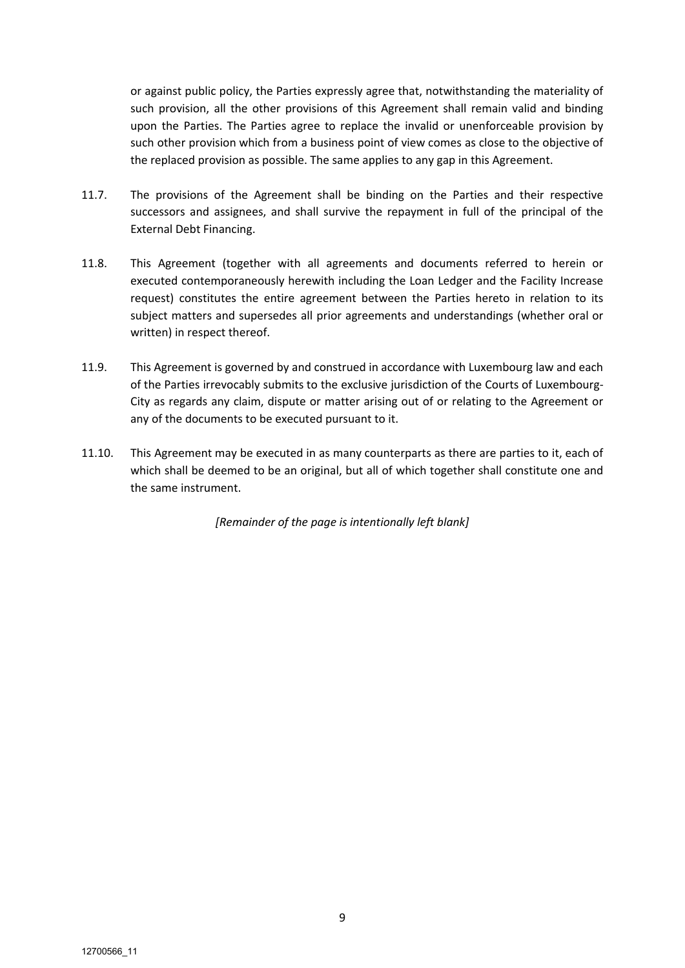or against public policy, the Parties expressly agree that, notwithstanding the materiality of such provision, all the other provisions of this Agreement shall remain valid and binding upon the Parties. The Parties agree to replace the invalid or unenforceable provision by such other provision which from a business point of view comes as close to the objective of the replaced provision as possible. The same applies to any gap in this Agreement.

- 11.7. The provisions of the Agreement shall be binding on the Parties and their respective successors and assignees, and shall survive the repayment in full of the principal of the External Debt Financing.
- 11.8. This Agreement (together with all agreements and documents referred to herein or executed contemporaneously herewith including the Loan Ledger and the Facility Increase request) constitutes the entire agreement between the Parties hereto in relation to its subject matters and supersedes all prior agreements and understandings (whether oral or written) in respect thereof.
- 11.9. This Agreement is governed by and construed in accordance with Luxembourg law and each of the Parties irrevocably submits to the exclusive jurisdiction of the Courts of Luxembourg-City as regards any claim, dispute or matter arising out of or relating to the Agreement or any of the documents to be executed pursuant to it.
- 11.10. This Agreement may be executed in as many counterparts as there are parties to it, each of which shall be deemed to be an original, but all of which together shall constitute one and the same instrument.

*[Remainder of the page is intentionally left blank]*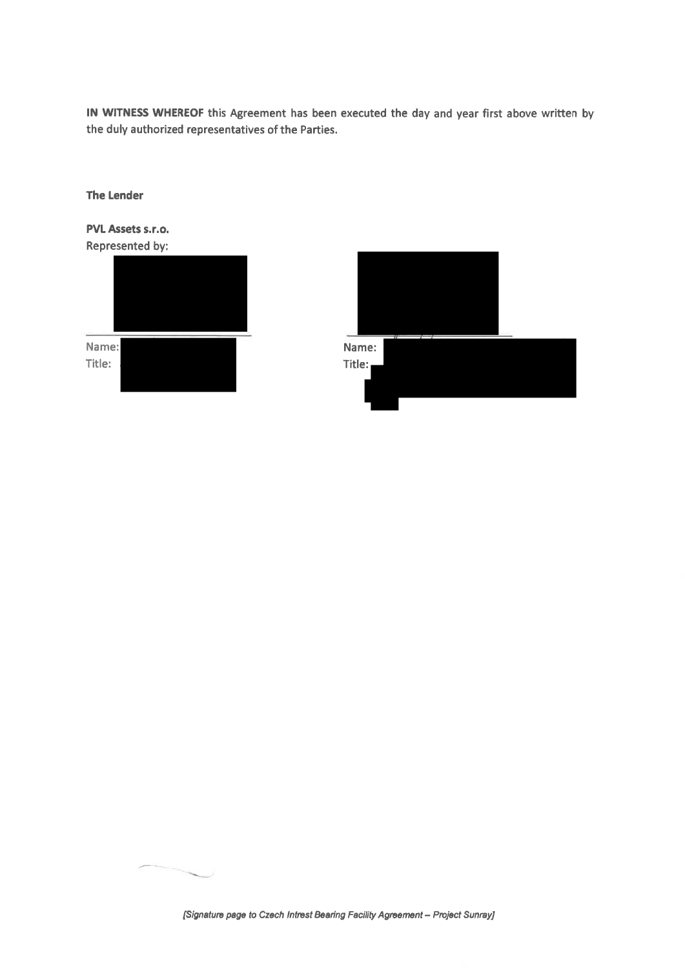IN WITNESS WHEREOF this Agreement has been executed the day and year first above written by the duly authorized representatives of the Parties.

| PVL Assets s.r.o. |        |
|-------------------|--------|
| Represented by:   |        |
|                   |        |
|                   |        |
|                   |        |
|                   |        |
|                   |        |
| Name:             | Name:  |
| Title:            | Title: |
|                   |        |
|                   |        |

**The Lender** 

|  |  | [Signature page to Czech Intrest Bearing Facility Agreement - Project Sunray] |  |
|--|--|-------------------------------------------------------------------------------|--|
|  |  |                                                                               |  |

 $\overline{\phantom{a}}$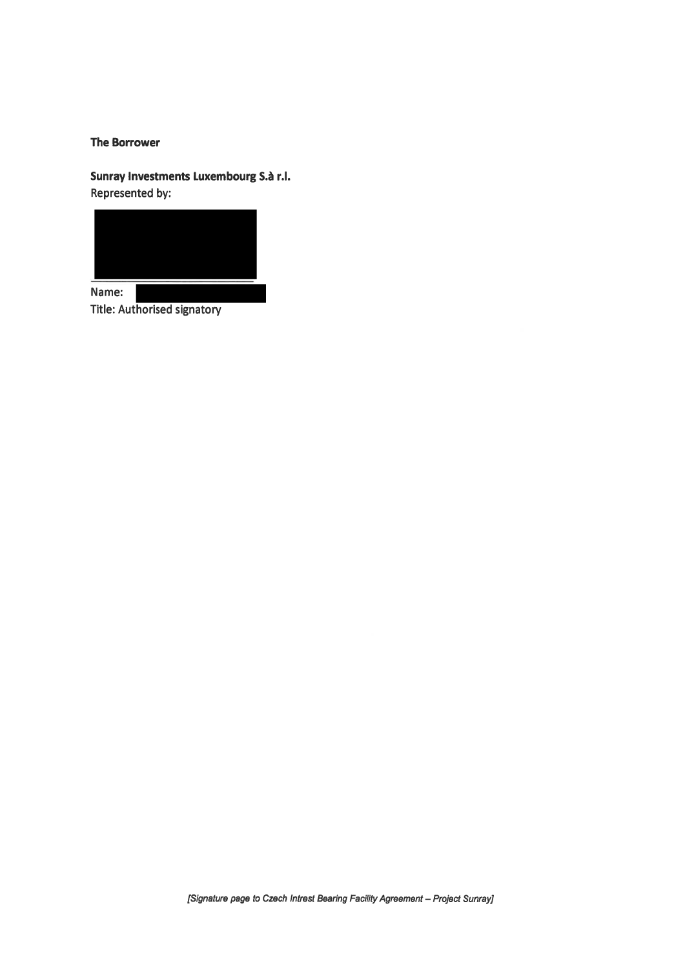#### **The Borrower**

Sunray Investments Luxembourg S.à r.l. Represented by:



Name: Title: Authorised signatory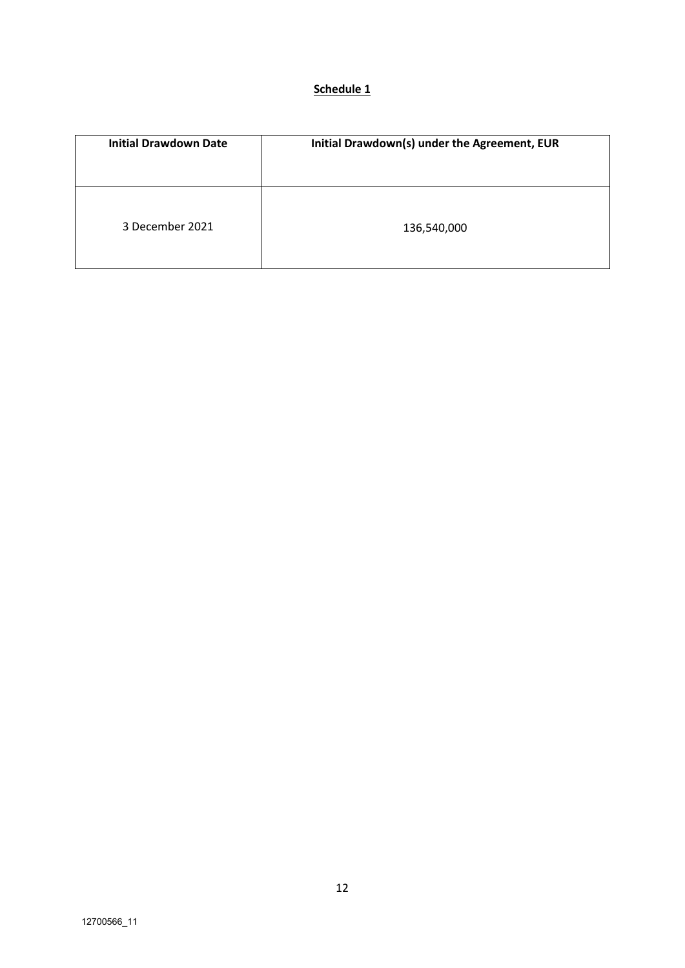|--|

| <b>Initial Drawdown Date</b> | Initial Drawdown(s) under the Agreement, EUR |
|------------------------------|----------------------------------------------|
|                              |                                              |
| 3 December 2021              | 136,540,000                                  |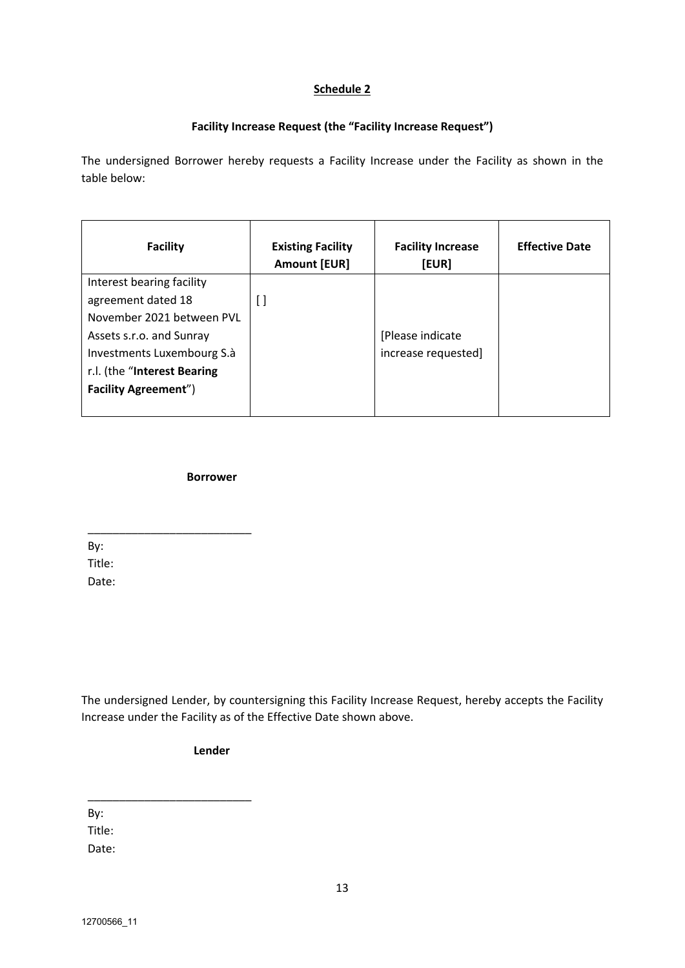## **Schedule 2**

# **Facility Increase Request (the "Facility Increase Request")**

The undersigned Borrower hereby requests a Facility Increase under the Facility as shown in the table below:

| <b>Facility</b>             | <b>Existing Facility</b><br><b>Amount [EUR]</b> | <b>Facility Increase</b><br>[EUR] | <b>Effective Date</b> |
|-----------------------------|-------------------------------------------------|-----------------------------------|-----------------------|
| Interest bearing facility   |                                                 |                                   |                       |
| agreement dated 18          | I l                                             |                                   |                       |
| November 2021 between PVL   |                                                 |                                   |                       |
| Assets s.r.o. and Sunray    |                                                 | [Please indicate                  |                       |
| Investments Luxembourg S.à  |                                                 | increase requested]               |                       |
| r.l. (the "Interest Bearing |                                                 |                                   |                       |
| <b>Facility Agreement")</b> |                                                 |                                   |                       |
|                             |                                                 |                                   |                       |

**Borrower**

\_\_\_\_\_\_\_\_\_\_\_\_\_\_\_\_\_\_\_\_\_\_\_\_\_\_

By: Title: Date:

The undersigned Lender, by countersigning this Facility Increase Request, hereby accepts the Facility Increase under the Facility as of the Effective Date shown above.

**Lender** 

\_\_\_\_\_\_\_\_\_\_\_\_\_\_\_\_\_\_\_\_\_\_\_\_\_\_

By:

Title:

Date: